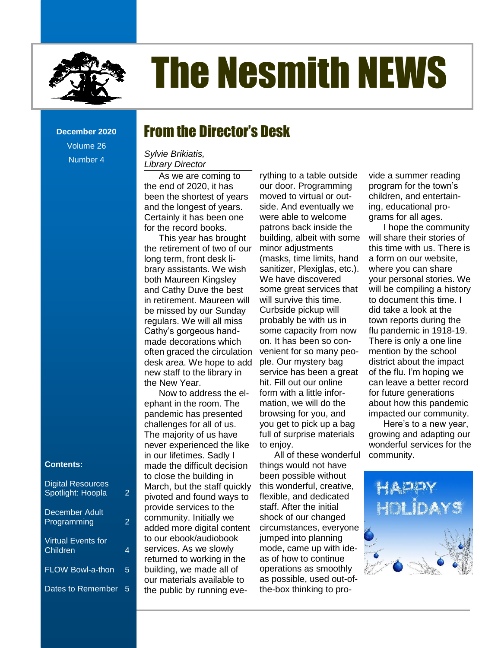

# The Nesmith NEWS

**December 2020** Volume 26 Number 4

## From the Director's Desk

#### **Contents** *Library Director Sylvie Brikiatis,*

As we are coming to the end of 2020, it has been the shortest of years and the longest of years. Certainly it has been one for the record books.

be missed by our Sunday This year has brought the retirement of two of our long term, front desk library assistants. We wish both Maureen Kingsley and Cathy Duve the best in retirement. Maureen will regulars. We will all miss Cathy's gorgeous handmade decorations which often graced the circulation desk area. We hope to add new staff to the library in the New Year.

The majority of us have<br>never experienced the li Now to address the elephant in the room. The pandemic has presented challenges for all of us. never experienced the like in our lifetimes. Sadly I made the difficult decision to close the building in March, but the staff quickly pivoted and found ways to provide services to the community. Initially we added more digital content to our ebook/audiobook services. As we slowly returned to working in the building, we made all of our materials available to the public by running eve-

As we are coming to a racid consider that a summer reading nd of 2020, it has our door. Programming program for the town's Dreams [...............................................................................................................................................](file:///C:/Users/Joyce/Documents/Nesmith/2013/Feb%202013/NN02_13.doc%23_Toc347430550) **Error! Bookmark not defined.** moved to virtual or outne longest of years. Inde. And eventually we ing, educational proinly it has been one were able to welcome grams for all ages. France Corner: Politic Corners: Politic Corners, and the Second books.<br>Precord books. Patrons back inside the Phope the community Fiecord books. Pations back inside the example the community nis year has brought building, albeit with some will share their stories of tirement of two of our minor adjustments but this time with us. There is erm, front desk li- (masks, time limits, hand a form on our website, [New Non-Fiction Titles in the Children's Room...................................................................................](file:///C:/Users/Joyce/Documents/Nesmith/2013/Feb%202013/NN02_13.doc%23_Toc347430558) **Error! Bookmark not defined.** sanitizer, Plexiglas, etc.).  $\alpha$  assistants. We wish samulet, religios, etc.). Where you can share The Nesmith NEWS [...............................................................................................................................................................................1](file:///C:/Users/Joyce/Documents/Nesmith/2013/Feb%202013/NN02_13.doc%23_Toc347430578) 's gorgeous hand- some capacity from now flu pandemic in 1918-19. decorations which on. It has been so con- There is only a one line graced the circulation venient for so many peo- mention by the school area. We hope to add ple. Our mystery bag district about the impact The Reference Corner: Political Corners: Political Corners of the first line booking we have a state of the first line booking we taff to the library in service has been a great of the flu. I'm hoping we ew Year. Thit. Fill out our online The an leave a better record ow to address the el- form with a little infor- for future generations nt in the room. The mation, we will do the about how this pandemic New Note Community.<br>In the Community.<br>In the Community. [Dates to Remember............................................................................................................................................................................2](file:///C:/Users/Joyce/Documents/Nesmith/2013/Feb%202013/NN02_13.doc%23_Toc347430589) rything to a table outside minor adjustments We have discovered some great services that will survive this time. Curbside pickup will probably be with us in some capacity from now on. It has been so conple. Our mystery bag hit. Fill out our online mation, we will do the browsing for you, and you get to pick up a bag full of surprise materials to enjoy.

> All of these wonderful things would not have been possible without this wonderful, creative, flexible, and dedicated staff. After the initial shock of our changed circumstances, everyone jumped into planning mode, came up with ideas of how to continue operations as smoothly as possible, used out-ofthe-box thinking to pro

vide a summer reading program for the town's children, and entertaining, educational programs for all ages.

I hope the community will share their stories of a form on our website, where you can share your personal stories. We will be compiling a history to document this time. I did take a look at the town reports during the mention by the school of the flu. I'm hoping we for future generations

Here's to a new year, growing and adapting our wonderful services for the community.



#### **Contents:**

| <b>Digital Resources</b><br>Spotlight: Hoopla | 2 |
|-----------------------------------------------|---|
| December Adult<br>Programming                 | 2 |
| <b>Virtual Events for</b><br>Children         | 4 |
| <b>FLOW Bowl-a-thon</b>                       | 5 |
| Dates to Remember                             | 5 |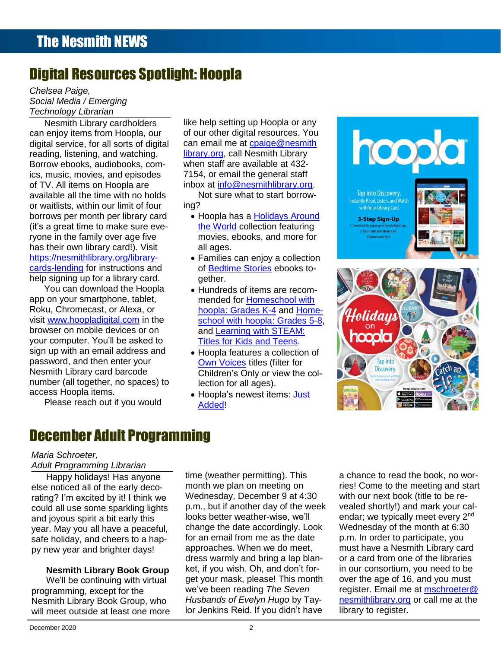## Digital Resources Spotlight: Hoopla

*Chelsea Paige, Social Media / Emerging*  **Technology Librarian** 

Nesmith Library cardholders can enjoy items from Hoopla, our digital service, for all sorts of digital reading, listening, and watching. ics, music, movies, and episodes of TV. All items on Hoopla are borrows per month per library card (it's a great time to make sure everyone in the family over age five has their own library card!). Visit [https://nesmithlibrary.org/library-](https://nesmithlibrary.org/library-cards-lending)**Contents**

app on your smartphone, tablet, Roku, Chromecast, or Alexa, or visit [www.hoopladigital.com](http://www.hoopladigital.com/) in the your computer. You'll be asked to sign up with an email address and Nesmith Library card barcode number (all together, no spaces) to s access Hoopla items.

Please reach out if you would

Nesmith Library cardholders bike help setting up Hoopla or any the contract of the contract of the contract of when staff are available at 432-

ing?

- [the World](https://www.hoopladigital.com/collection/10743) collection featuring movies, ebooks, and more for all ages.
- Families can enjoy a collection of [Bedtime Stories](https://www.hoopladigital.com/collection/4716) ebooks together.
- 
- [Own Voices](https://www.hoopladigital.com/collection/10325) titles (filter for Children's Only or view the collection for all ages).
- Hoopla's newest items: [Just](https://www.hoopladigital.com/collection/-105)  [Added!](https://www.hoopladigital.com/collection/-105)



## December Adult Programming

#### *Maria Schroeter, Adult Programming Librarian*

**Content of the Content of Contract Contents Contributed** Has anyone else noticed all of the early decoand joyous spirit a bit early this year. May you all have a peaceful, safe holiday, and cheers to a hap-

#### **Nesmith Library Book Group**

will meet outside at least one more We'll be continuing with virtual programming, except for the Nesmith Library Book Group, who

e noticed all of the early deco- month we plan on meeting on ries! Come to the meeting and start onced all of the early dece<br>1? I'm excited by it! I think we Wednesday, December 9 at 4:30 with our next book (title to be rerating? I'm excited by it! I think we Wednesday, December 9 at 4:30 with our next book (title to be recould all use some sparkling lights p.m., but if another day of the week vealed shortly!) and mark your calovous spirit a bit early this **busing the Soutian Cooks** better weather-wise, we'll endar; we typically meet every 2<sup>nd</sup> May you all have a peaceful. change the date accordingly. Look Wednesday of the month at 6:30 may you all have a peaceral,<br>holiday, and cheers to a hap-<br> Trollogy, and cheers to a rigpence to the Direct Chain Challenge.<br>We vear and brighter days! approaches. When we do meet, must have a Nesmith Library card py new year and brighter days! approaches. When we do meet, how must have a Nesmith Library card dress warmly and bring a lap blan- or a card from one of the libraries in the story of the libraries lesmith Library Book Group ket, if you wish. Oh, and don't for- in our consortium, you need to be e'll be continuing with virtual get your mask, please! This month over the age of 16, and you must time (weather permitting). This month we plan on meeting on p.m., but if another day of the week looks better weather-wise, we'll for an email from me as the date approaches. When we do meet, ket, if you wish. Oh, and don't forwe've been reading *The Seven Husbands of Evelyn Hugo* by Taylor Jenkins Reid. If you didn't have

a chance to read the book, no worwith our next book (title to be revealed shortly!) and mark your cal-Wednesday of the month at 6:30 or a card from one of the libraries over the age of 16, and you must register. Email me at [mschroeter@](mailto:mschroeter@nesmithlibrary.org) [nesmithlibrary.org](mailto:mschroeter@nesmithlibrary.org) or call me at the library to register.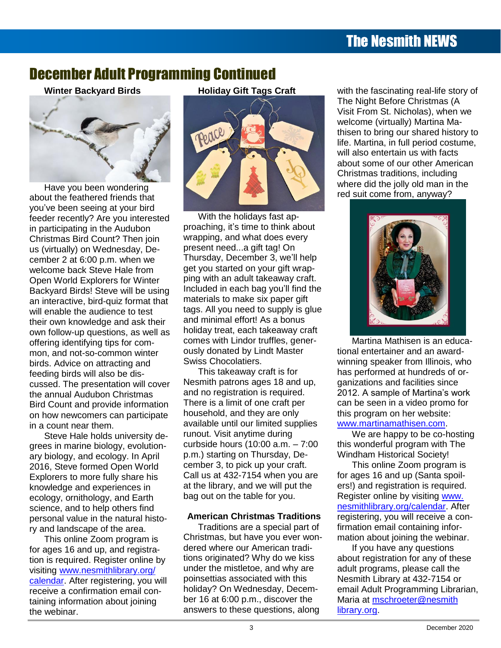## The Nesmith NEWS

### December Adult Programming Continued

**Winter Backyard Birds**



Have you been wondering you've been seeing at your bird New Non-Fiction Titles in the Children's Room [...................................................................................](file:///C:/Users/Joyce/Documents/Nesmith/2013/Feb%202013/NN02_13.doc%23_Toc347430558)**Error! Bookmark not defined.** feeder recently? Are you interested in participating in the Audubon Christmas Bird Count? Then join us (virtually) on Wednesday, Deus (virtually) on wednesday, De<br>cember 2 at 6:00 p.m. when we welcome back Steve Hale from Open World Explorers for Winter Backyard Birds! Steve will be using Included in each bag you'll find the **Error Included.** an interactive, bird-quiz format that comaterials to make six paper gift the comparison of the state of the sta will enable the audience to test their own knowledge and ask their own follow-up questions, as well as holiday treat, each takeaway craft and the children's comparison of the children's offering identifying tips for com-Toddler Story Time [..............................................................................................................................](file:///C:/Users/Joyce/Documents/Nesmith/2013/Feb%202013/NN02_13.doc%23_Toc347430587)**Error! Bookmark not defined.** mon, and not-so-common winter \_\_\_\_\_\_ ously donated by Lindt Master \_\_\_\_\_\_\_tional entertainer and an awardbirds. Advice on attracting and feeding birds will also be disreeding birds will also be dis-<br>cussed. The presentation will cover the annual Audubon Christmas Bird Count and provide information on how newcomers can participate in a count near them.

Steve Hale holds university degrees in marine biology, evolutionary biology, and ecology. In April 2016, Steve formed Open World Explorers to more fully share his knowledge and experiences in ecology, ornithology, and Earth science, and to help others find personal value in the natural history and landscape of the area.

This online Zoom program is for ages 16 and up, and registration is required. Register online by visiting [www.nesmithlibrary.org/](http://www.nesmithlibrary.org/%0bcalendar) [calendar.](http://www.nesmithlibrary.org/%0bcalendar) After registering, you will receive a confirmation email containing information about joining the webinar.

**Holiday Gift Tags Craft**



r recently? Are vou interested With the holidays fast approaching, it's time to think about wrapping, and what does every present need...a gift tag! On Thursday, December 3, we'll help come back Steve Hale from get you started on your gift wrap- The LAN MAN ASSAULT LAND which be concerned them in the court Case of the Court Cases ....................<br>World Explorers for Winter ping with an adult takeaway craft. Included in each bag you'll find the compared in the second with the second with the second in the second in the <br>The second is stated will be using the fluided in each bag you'll find the materials to make six paper gift The Reference of test the reference corners in tags. All you need to supply is glue the state of the state of the state of the following of the following state of the following state of the following of the following state and the minimal control of the community of the community of the community of the community of the community of the community of the community of the community of the community of the community of the community of the comm holiday treat, each takeaway craft [Take the Digital Challenge...................................................................................................................](file:///C:/Users/Joyce/Documents/Nesmith/2013/Feb%202013/NN02_13.doc%23_Toc347430585)**Error! Bookmark not defined.** comes with Lindor truffles, generously donated by Lindt Master Swiss Chocolatiers. Advice on attracting and Swiss Chocolatiers. The same winning speaker from Illinois, who

> This takeaway craft is for Nesmith patrons ages 18 and up, and no registration is required. There is a limit of one craft per household, and they are only available until our limited supplies runout. Visit anytime during curbside hours (10:00 a.m. – 7:00 p.m.) starting on Thursday, December 3, to pick up your craft. Call us at 432-7154 when you are at the library, and we will put the bag out on the table for you.

#### **American Christmas Traditions**

Traditions are a special part of Christmas, but have you ever wondered where our American traditions originated? Why do we kiss under the mistletoe, and why are poinsettias associated with this holiday? On Wednesday, December 16 at 6:00 p.m., discover the answers to these questions, along

with the fascinating real-life story of The Night Before Christmas (A Visit From St. Nicholas), when we



Martina Mathisen is an educational entertainer and an awardhas performed at hundreds of organizations and facilities since 2012. A sample of Martina's work can be seen in a video promo for this program on her website: [www.martinamathisen.com.](http://www.martinamathisen.com/)

We are happy to be co-hosting this wonderful program with The Windham Historical Society!

This online Zoom program is for ages 16 and up (Santa spoilers!) and registration is required. Register online by visiting [www.](http://www.nesmithlibrary.org/calendar) [nesmithlibrary.org/calendar.](http://www.nesmithlibrary.org/calendar) After registering, you will receive a confirmation email containing information about joining the webinar.

If you have any questions about registration for any of these adult programs, please call the Nesmith Library at 432-7154 or email Adult Programming Librarian, Maria at [mschroeter@nesmith](mailto:mschroeter@nesmithlibrary.org) [library.org.](mailto:mschroeter@nesmithlibrary.org)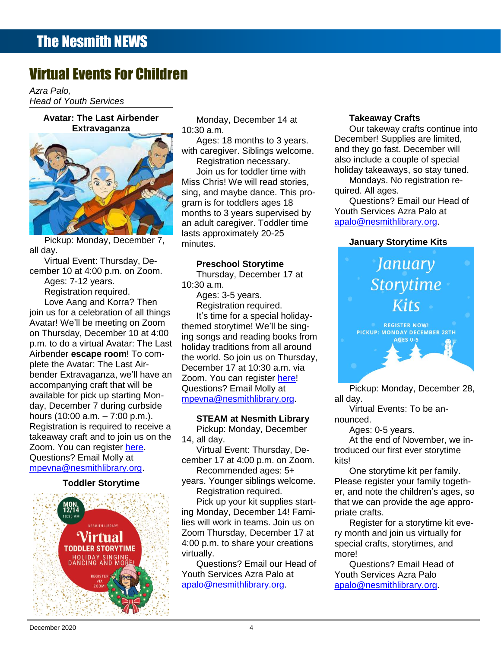## Virtual Events For Children

<u>Production</u> *Azra Palo, Head of Youth Services*

#### **Avatar: The Last Airbender Extravaganza**



Pickup: Monday, December 7, all day.

all day.<br>Virtual Event: Thursday, De-

Ages: 7-12 years.

ioin us for a celebration of all things the registration required.<br>Soin us for a celebration of all things the time for a special holiday. Airbender **escape room**! To com-<br>Airbender **escape room**! To combender Extravaganza, we il nav<br>accompanying craft that will be Avatar! We'll be meeting on Zoom on Thursday, December 10 at 4:00 p.m. to do a virtual Avatar: The Last plete the Avatar: The Last Airbender Extravaganza, we'll have an available for pick up starting Monday, December 7 during curbside hours (10:00 a.m. – 7:00 p.m.). Registration is required to receive a takeaway craft and to join us on the Zoom. You can register [here.](https://us02web.zoom.us/meeting/register/tZYqdOGrqDIoEtOisn95kLvNQpg8xirrfuas) Questions? Email Molly at [mpevna@nesmithlibrary.org.](mailto:mpevna@nesmithlibrary.org)

#### **Toddler Storytime**



Avatar: The Last Airbender Monday, December 14 at Takeaway Crafts 10:30 a.m.

> Ages: 18 months to 3 years. with caregiver. Siblings welcome.

**The Digital Challenge.** Miss Chris! We will read stories, **Exercise Mondays. No registration re**sing, and maybe dance. This pro- quired. All ages. Toddler Story Time [..............................................................................................................................](file:///C:/Users/Joyce/Documents/Nesmith/2013/Feb%202013/NN02_13.doc%23_Toc347430557)**Error! Bookmark not defined.** Questions? Email our Head of Registration necessary. gram is for toddlers ages 18 an adult caregiver. Toddler time lasts approximately 20-25 minutes.

#### **Preschool Storytime**

10:30 a.m.

Ages: 3-5 years. Registration required.

December 17 at 10:30 a.m. via Zoom. You can register [here!](https://us02web.zoom.us/meeting/register/tZMkduGhrzovG9ekyMTHUE-oOf-eQYpj9e5c) Questions? Email Molly at [mpevna@nesmithlibrary.org.](mailto:mpevna@nesmithlibrary.org)

#### **STEAM at Nesmith Library**

Pickup: Monday, December 14, all day.

Virtual Event: Thursday, December 17 at 4:00 p.m. on Zoom. Recommended ages: 5+

years. Younger siblings welcome. Registration required.

Pick up your kit supplies starting Monday, December 14! Families will work in teams. Join us on Zoom Thursday, December 17 at 4:00 p.m. to share your creations virtually.

Questions? Email our Head of Youth Services Azra Palo at [apalo@nesmithlibrary.org.](mailto:apalo@nesmithlibrary.org)

#### **Takeaway Crafts**

Supreme Court Cases [.........................................................................................................................](file:///C:/Users/Joyce/Documents/Nesmith/2013/Feb%202013/NN02_13.doc%23_Toc347430549)**Error! Bookmark not defined.** Our takeway crafts continue into **Example 3** Ages: 18 months to 3 years. December! Supplies are limited, **All with caregiver. Siblings welcome.** and they go fast. December will [s...........................................................................................................................................................](file:///C:/Users/Joyce/Documents/Nesmith/2013/Feb%202013/NN02_13.doc%23_Toc347430552)**Error! Bookmark not defined.** also include a couple of special The Registration necessary.<br>Join us for toddler time with holiday takeaways, so stay tuned. Join us for toddler time with holiday takeaways, so stay tuned.

Mondays. No registration required. All ages.

New Non-Fiction Titles in the Children's Room [...................................................................................](file:///C:/Users/Joyce/Documents/Nesmith/2013/Feb%202013/NN02_13.doc%23_Toc347430558)**Error! Bookmark not defined.** Youth Services Azra Palo at months to 3 years supervised by Youth Services Azra Palo at [apalo@nesmithlibrary.org.](mailto:apalo@nesmithlibrary.org)

#### **January Storytime Kits**



Pickup: Monday, December 28, all day.

Virtual Events: To be announced.

Ages: 0-5 years.

At the end of November, we introduced our first ever storytime kits!

One storytime kit per family. Please register your family together, and note the children's ages, so that we can provide the age appropriate crafts.

Register for a storytime kit every month and join us virtually for special crafts, storytimes, and more!

Questions? Email Head of Youth Services Azra Palo [apalo@nesmithlibrary.org.](mailto:apalo@nesmithlibrary.org)